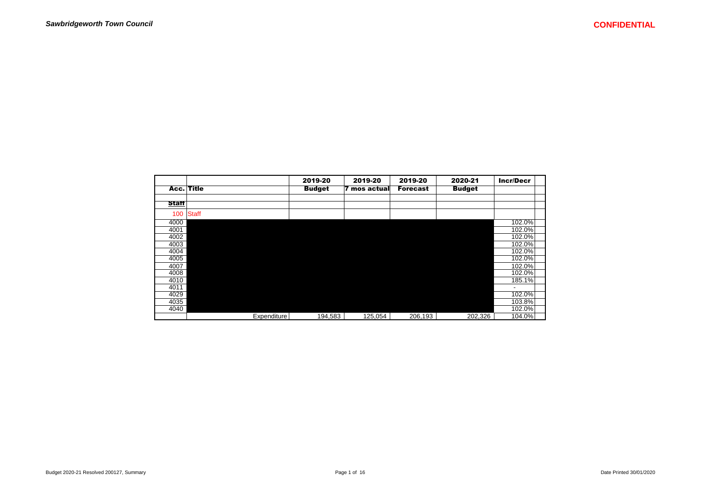|              |            |                    | 2019-20       | 2019-20          | 2019-20         | 2020-21       | <b>Incr/Decr</b> |
|--------------|------------|--------------------|---------------|------------------|-----------------|---------------|------------------|
|              | Acc. Title |                    | <b>Budget</b> | mos actual<br>17 | <b>Forecast</b> | <b>Budget</b> |                  |
| <b>Staff</b> |            |                    |               |                  |                 |               |                  |
|              |            |                    |               |                  |                 |               |                  |
| 100          | Staff      |                    |               |                  |                 |               |                  |
| 4000         |            |                    |               |                  |                 |               | 102.0%           |
| 4001         |            |                    |               |                  |                 |               | 102.0%           |
| 4002         |            |                    |               |                  |                 |               | 102.0%           |
| 4003         |            |                    |               |                  |                 |               | 102.0%           |
| 4004         |            |                    |               |                  |                 |               | 102.0%           |
| 4005         |            |                    |               |                  |                 |               | 102.0%           |
| 4007         |            |                    |               |                  |                 |               | 102.0%           |
| 4008         |            |                    |               |                  |                 |               | 102.0%           |
| 4010         |            |                    |               |                  |                 |               | 185.1%           |
| 4011         |            |                    |               |                  |                 |               |                  |
| 4029         |            |                    |               |                  |                 |               | 102.0%           |
| 4035         |            |                    |               |                  |                 |               | 103.8%           |
| 4040         |            |                    |               |                  |                 |               | 102.0%           |
|              |            | <b>Expenditure</b> | 194,583       | 125,054          | 206,193         | 202,326       | 104.0%           |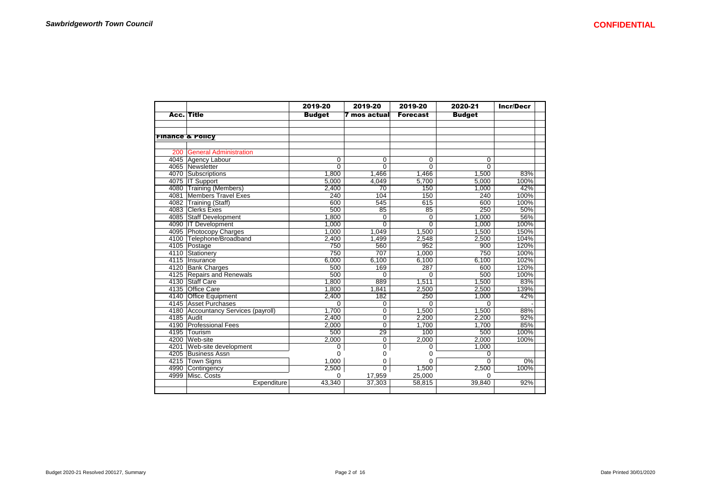|     |                                     | 2019-20        | 2019-20         | 2019-20         | 2020-21        | <b>Incr/Decr</b> |
|-----|-------------------------------------|----------------|-----------------|-----------------|----------------|------------------|
|     | <b>Acc. Title</b>                   | <b>Budget</b>  | 7 mos actual    | <b>Forecast</b> | <b>Budget</b>  |                  |
|     |                                     |                |                 |                 |                |                  |
|     |                                     |                |                 |                 |                |                  |
|     | <b>Finance &amp; Policy</b>         |                |                 |                 |                |                  |
|     |                                     |                |                 |                 |                |                  |
| 200 | <b>General Administration</b>       |                |                 |                 |                |                  |
|     | 4045 Agency Labour                  | 0              | 0               | 0               | 0              |                  |
|     | 4065 Newsletter                     | $\overline{0}$ | $\overline{0}$  | $\overline{0}$  | $\Omega$       |                  |
|     | 4070 Subscriptions                  | 1,800          | 1,466           | 1,466           | 1,500          | 83%              |
|     | 4075 IT Support                     | 5,000          | 4.049           | 5.700           | 5,000          | 100%             |
|     | 4080 Training (Members)             | 2,400          | $\overline{70}$ | 150             | 1,000          | 42%              |
|     | 4081 Members Travel Exes            | 240            | 104             | 150             | 240            | 100%             |
|     | 4082 Training (Staff)               | 600            | 545             | 615             | 600            | 100%             |
|     | 4083 Clerks Exes                    | 500            | 85              | 85              | 250            | 50%              |
|     | 4085 Staff Development              | 1,800          | 0               | 0               | 1,000          | 56%              |
|     | 4090 IT Development                 | 1.000          | $\Omega$        | $\Omega$        | 1.000          | 100%             |
|     | 4095 Photocopy Charges              | 1,000          | 1,049           | 1,500           | 1,500          | 150%             |
|     | 4100 Telephone/Broadband            | 2,400          | 1,499           | 2,548           | 2,500          | 104%             |
|     | 4105 Postage                        | 750            | 560             | 952             | 900            | 120%             |
|     | 4110 Stationery                     | 750            | 707             | 1,000           | 750            | 100%             |
|     | 4115 Insurance                      | 6,000          | 6,100           | 6,100           | 6,100          | 102%             |
|     | 4120 Bank Charges                   | 500            | 169             | 287             | 600            | 120%             |
|     | 4125 Repairs and Renewals           | 500            | $\Omega$        | $\Omega$        | 500            | 100%             |
|     | 4130 Staff Care                     | 1,800          | 889             | 1,511           | 1,500          | 83%              |
|     | 4135 Office Care                    | 1.800          | 1,841           | 2.500           | 2.500          | 139%             |
|     | 4140 Office Equipment               | 2,400          | 182             | 250             | 1,000          | 42%              |
|     | 4145 Asset Purchases                | $\Omega$       | 0               | $\Omega$        | $\Omega$       |                  |
|     | 4180 Accountancy Services (payroll) | 1,700          | $\overline{0}$  | 1,500           | 1,500          | 88%              |
|     | 4185 Audit                          | 2,400          | $\overline{0}$  | 2,200           | 2,200          | 92%              |
|     | 4190 Professional Fees              | 2,000          | $\overline{0}$  | 1,700           | 1,700          | 85%              |
|     | 4195 Tourism                        | 500            | 29              | 100             | 500            | 100%             |
|     | 4200 Web-site                       | 2,000          | 0               | 2,000           | 2,000          | 100%             |
|     | 4201 Web-site development           | $\mathbf 0$    | 0               | $\Omega$        | 1,000          |                  |
|     | 4205 Business Assn                  | $\Omega$       | 0               | 0               | 0              |                  |
|     | 4215 Town Signs                     | 1,000          | 0               | 0               | $\overline{0}$ | 0%               |
|     | 4990 Contingency                    | 2,500          | $\Omega$        | 1,500           | 2,500          | 100%             |
|     | 4999 Misc. Costs                    | O              | 17,959          | 25.000          | <sup>0</sup>   |                  |
|     | Expenditure                         | 43,340         | 37,303          | 58,815          | 39,840         | 92%              |
|     |                                     |                |                 |                 |                |                  |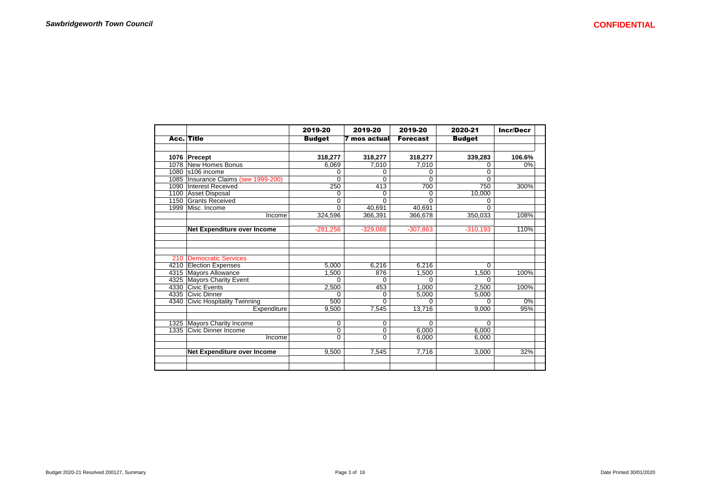|      |                                   | 2019-20       | 2019-20             | 2019-20         | 2020-21       | <b>Incr/Decr</b> |
|------|-----------------------------------|---------------|---------------------|-----------------|---------------|------------------|
|      | <b>Acc. Title</b>                 | <b>Budget</b> | <b>7 mos actual</b> | <b>Forecast</b> | <b>Budget</b> |                  |
|      | 1076 Precept                      | 318,277       | 318,277             | 318,277         | 339,283       | 106.6%           |
|      | 1078 New Homes Bonus              | 6,069         | 7,010               | 7,010           | 0             | 0%               |
| 1080 | s106 income                       | 0             | 0                   | 0               | 0             |                  |
| 1085 | Insurance Claims (see 1999-200)   | $\Omega$      | $\Omega$            | 0               | $\Omega$      |                  |
| 1090 | Interest Received                 | 250           | 413                 | 700             | 750           | 300%             |
|      | 1100 Asset Disposal               | 0             | 0                   | 0               | 10,000        |                  |
|      | 1150 Grants Received              | 0             | $\Omega$            | 0               | 0             |                  |
|      | 1999   Misc. Income               | $\Omega$      | 40,691              | 40,691          | $\Omega$      |                  |
|      | Income                            | 324,596       | 366,391             | 366.678         | 350,033       | 108%             |
|      | Net Expenditure over Income       | $-281,256$    | $-329,088$          | $-307,863$      | $-310,193$    | 110%             |
|      |                                   |               |                     |                 |               |                  |
| 210  | Democratic Services               |               |                     |                 |               |                  |
| 4210 | <b>Election Expenses</b>          | 5,000         | 6,216               | 6,216           | $\Omega$      |                  |
|      | 4315 Mayors Allowance             | 1,500         | 876                 | 1,500           | 1,500         | 100%             |
|      | 4325 Mayors Charity Event         | U             | $\Omega$            |                 | U             |                  |
|      | 4330 Civic Events                 | 2,500         | 453                 | 1.000           | 2,500         | 100%             |
|      | 4335 Civic Dinner                 | 0             | 0                   | 5,000           | 5,000         |                  |
| 4340 | <b>Civic Hospitality Twinning</b> | 500           | 0                   | 0               | 0             | 0%               |
|      | Expenditure                       | 9,500         | 7,545               | 13,716          | 9,000         | 95%              |
|      |                                   |               |                     |                 |               |                  |
| 1325 | Mayors Charity Income             | $\Omega$      | 0                   | 0               | 0             |                  |
| 1335 | <b>Civic Dinner Income</b>        | 0             | $\overline{0}$      | 6,000           | 6,000         |                  |
|      | Income                            | $\Omega$      | 0                   | 6,000           | 6,000         |                  |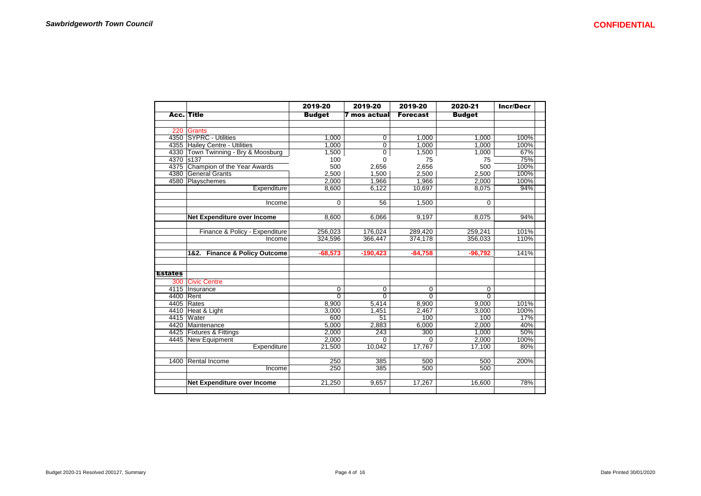|                |                                     | 2019-20       | 2019-20        | 2019-20         | 2020-21       | <b>Incr/Decr</b> |
|----------------|-------------------------------------|---------------|----------------|-----------------|---------------|------------------|
|                | <b>Acc.</b> Title                   | <b>Budget</b> | mos actual     | <b>Forecast</b> | <b>Budget</b> |                  |
|                |                                     |               |                |                 |               |                  |
|                | 220 Grants                          |               |                |                 |               |                  |
|                | 4350 SYPRC - Utilities              | 1.000         | 0              | 1.000           | 1.000         | 100%             |
|                | 4355 Hailey Centre - Utilities      | 1,000         | 0              | 1.000           | 1.000         | 100%             |
|                | 4330 Town Twinning - Bry & Moosburg | 1,500         | $\overline{0}$ | 1,500           | 1,000         | 67%              |
| 4370           | s <sub>137</sub>                    | 100           | 0              | 75              | 75            | 75%              |
|                | 4375 Champion of the Year Awards    | 500           | 2,656          | 2,656           | 500           | 100%             |
|                | 4380 General Grants                 | 2.500         | 1,500          | 2.500           | 2.500         | 100%             |
|                | 4580 Playschemes                    | 2.000         | 1.966          | 1,966           | 2.000         | 100%             |
|                | Expenditure                         | 8,600         | 6,122          | 10,697          | 8,075         | 94%              |
|                |                                     |               |                |                 |               |                  |
|                | Income                              | $\Omega$      | 56             | 1,500           | 0             |                  |
|                |                                     |               |                |                 |               |                  |
|                | Net Expenditure over Income         | 8,600         | 6,066          | 9,197           | 8.075         | 94%              |
|                |                                     |               |                |                 |               |                  |
|                | Finance & Policy - Expenditure      | 256,023       | 176,024        | 289,420         | 259,241       | 101%             |
|                | Income                              | 324,596       | 366,447        | 374.178         | 356,033       | 110%             |
|                |                                     |               |                |                 |               |                  |
|                | 1&2. Finance & Policy Outcome       | $-68,573$     | $-190,423$     | $-84,758$       | $-96,792$     | 141%             |
|                |                                     |               |                |                 |               |                  |
| <b>Estates</b> |                                     |               |                |                 |               |                  |
| 300            | <b>Civic Centre</b>                 |               |                |                 |               |                  |
|                | 4115   Insurance                    | 0             | 0              | 0               | 0             |                  |
| 4400 Rent      |                                     | $\Omega$      | $\overline{0}$ | $\Omega$        | $\Omega$      |                  |
|                | 4405 Rates                          | 8,900         | 5,414          | 8,900           | 9,000         | 101%             |
|                | 4410 Heat & Light                   | 3,000         | 1,451          | 2,467           | 3.000         | 100%             |
|                | 4415 Water                          | 600           | 51             | 100             | 100           | 17%              |
|                | 4420 Maintenance                    | 5,000         | 2,883          | 6,000           | 2,000         | 40%              |
|                | 4425 Fixtures & Fittings            | 2,000         | 243            | 300             | 1,000         | 50%              |
|                | 4445 New Equipment                  | 2,000         | 0              | $\Omega$        | 2,000         | 100%             |
|                | Expenditure                         | 21,500        | 10.042         | 17.767          | 17.100        | 80%              |
|                | 1400 Rental Income                  | 250           | 385            | 500             | 500           | 200%             |
|                | Income                              | 250           | 385            | 500             | 500           |                  |
|                |                                     |               |                |                 |               |                  |
|                | Net Expenditure over Income         | 21.250        | 9,657          | 17.267          | 16,600        | 78%              |
|                |                                     |               |                |                 |               |                  |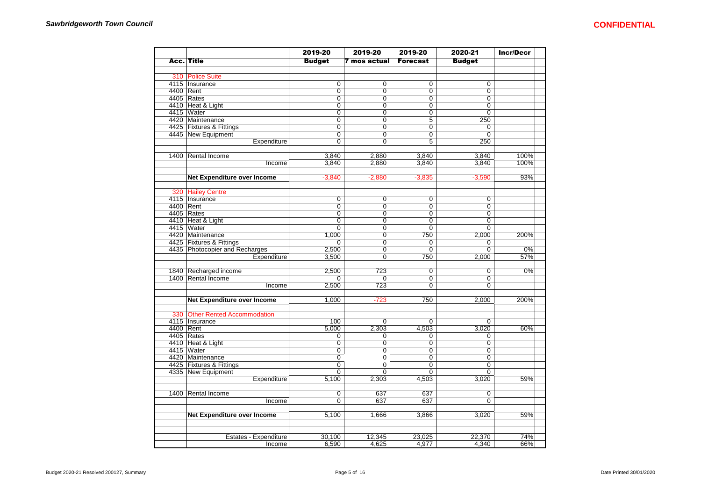|           |                                | 2019-20        | 2019-20        | 2019-20         | 2020-21        | <b>Incr/Decr</b> |
|-----------|--------------------------------|----------------|----------------|-----------------|----------------|------------------|
|           | <b>Acc. Title</b>              | <b>Budget</b>  | 7 mos actual   | <b>Forecast</b> | <b>Budget</b>  |                  |
|           |                                |                |                |                 |                |                  |
|           | 310 Police Suite               |                |                |                 |                |                  |
|           | 4115 Insurance                 | $\overline{0}$ | $\overline{0}$ | 0               | 0              |                  |
| 4400 Rent |                                | $\overline{0}$ | $\overline{0}$ | $\overline{0}$  | $\overline{0}$ |                  |
|           | 4405 Rates                     | $\overline{0}$ | $\overline{0}$ | $\overline{0}$  | $\overline{0}$ |                  |
|           | 4410 Heat & Light              | 0              | 0              | 0               | $\overline{0}$ |                  |
|           | 4415 Water                     | $\overline{0}$ | $\overline{0}$ | $\overline{0}$  | $\overline{0}$ |                  |
|           | 4420 Maintenance               | $\overline{0}$ | 0              | $\overline{5}$  | 250            |                  |
|           | 4425 Fixtures & Fittings       | 0              | 0              | 0               | 0              |                  |
|           | 4445 New Equipment             | 0              | 0              | 0               | 0              |                  |
|           | Expenditure                    | $\overline{0}$ | $\overline{0}$ | 5               | 250            |                  |
|           |                                |                |                |                 |                |                  |
|           | 1400 Rental Income             | 3,840          | 2,880          | 3,840           | 3,840          | 100%             |
|           | Income                         | 3,840          | 2,880          | 3,840           | 3,840          | 100%             |
|           |                                |                |                |                 |                |                  |
|           | Net Expenditure over Income    | $-3,840$       | $-2,880$       | $-3,835$        | $-3,590$       | 93%              |
|           |                                |                |                |                 |                |                  |
|           | 320 Hailey Centre              |                |                |                 |                |                  |
|           | 4115   Insurance               | $\overline{0}$ | $\Omega$       | $\overline{0}$  | $\overline{0}$ |                  |
| 4400 Rent |                                | 0              | 0              | 0               | 0              |                  |
|           | 4405 Rates                     | $\overline{0}$ | $\overline{0}$ | $\overline{0}$  | $\overline{0}$ |                  |
|           | 4410 Heat & Light              | 0              | 0              | 0               | 0              |                  |
|           | 4415 Water                     | $\overline{0}$ | $\overline{0}$ | $\overline{0}$  | $\overline{0}$ |                  |
|           | 4420 Maintenance               | 1,000          | $\overline{0}$ | 750             | 2,000          | 200%             |
|           | 4425 Fixtures & Fittings       | 0              | $\overline{0}$ | 0               | 0              |                  |
|           | 4435 Photocopier and Recharges | 2,500          | $\Omega$       | 0               | 0              | 0%               |
|           | Expenditure                    | 3,500          | $\Omega$       | 750             | 2,000          | 57%              |
|           |                                |                |                |                 |                |                  |
|           | 1840 Recharged income          | 2,500          | 723            | 0               | 0              | 0%               |
|           | 1400 Rental Income             |                | $\Omega$       | 0               | 0              |                  |
|           | Income                         | 2,500          | 723            | $\Omega$        | 0              |                  |
|           |                                |                |                |                 |                |                  |
|           | Net Expenditure over Income    | 1,000          | $-723$         | 750             | 2,000          | 200%             |
|           | 330 Other Rented Accommodation |                |                |                 |                |                  |
|           | 4115 Insurance                 | 100            | $\overline{0}$ | $\overline{0}$  | $\overline{0}$ |                  |
| 4400 Rent |                                | 5,000          | 2,303          | 4,503           | 3,020          | 60%              |
|           | 4405 Rates                     | 0              | 0              | 0               | 0              |                  |
|           | 4410 Heat & Light              | $\overline{0}$ | $\overline{0}$ | $\overline{0}$  | 0              |                  |
|           | 4415 Water                     | $\overline{0}$ | $\overline{0}$ | $\overline{0}$  | $\overline{0}$ |                  |
|           | 4420 Maintenance               | 0              | $\mathbf 0$    | 0               | 0              |                  |
|           | 4425 Fixtures & Fittings       | $\overline{0}$ | $\Omega$       | $\overline{0}$  | $\overline{0}$ |                  |
|           | 4335 New Equipment             | 0              | $\Omega$       | 0               | 0              |                  |
|           | Expenditure                    | 5,100          | 2,303          | 4,503           | 3,020          | 59%              |
|           |                                |                |                |                 |                |                  |
|           | 1400 Rental Income             | 0              | 637            | 637             | 0              |                  |
|           | Income                         | $\overline{0}$ | 637            | 637             | $\Omega$       |                  |
|           |                                |                |                |                 |                |                  |
|           | Net Expenditure over Income    | 5,100          | 1.666          | 3,866           | 3,020          | 59%              |
|           |                                |                |                |                 |                |                  |
|           |                                |                |                |                 |                |                  |
|           | Estates - Expenditure          | 30,100         | 12,345         | 23,025          | 22,370         | 74%              |
|           | Income                         | 6,590          | 4,625          | 4,977           | 4,340          | 66%              |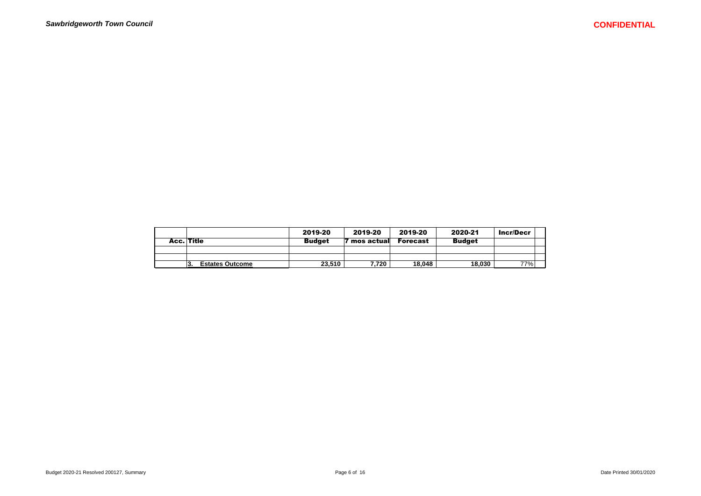|                               | 2019-20       | 2019-20       | 2019-20  | 2020-21       | <b>Incr/Decr</b> |
|-------------------------------|---------------|---------------|----------|---------------|------------------|
| Acc. Title                    | <b>Budget</b> | ' mos actuall | Forecast | <b>Budget</b> |                  |
|                               |               |               |          |               |                  |
|                               |               |               |          |               |                  |
| <b>Estates Outcome</b><br>13. | 23.510        | 7.720         | 18.048   | 18.030        | 77%              |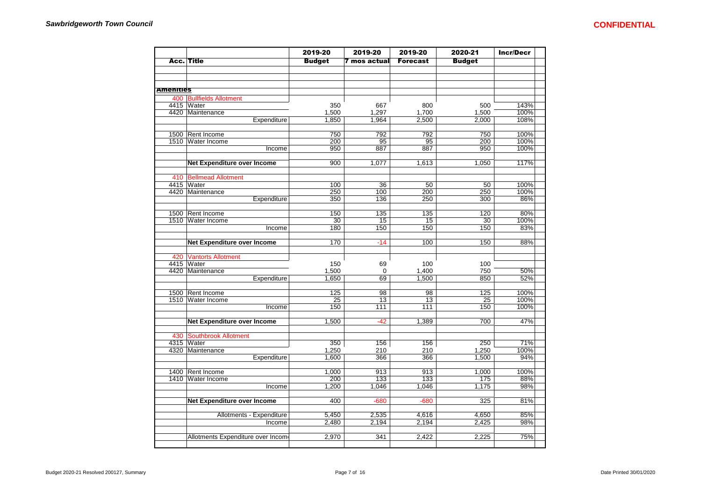|                  |                                    | 2019-20                 | 2019-20           | 2019-20         | 2020-21        | <b>Incr/Decr</b> |
|------------------|------------------------------------|-------------------------|-------------------|-----------------|----------------|------------------|
|                  | <b>Acc. Title</b>                  | <b>Budget</b>           | 7 mos actual      | <b>Forecast</b> | <b>Budget</b>  |                  |
|                  |                                    |                         |                   |                 |                |                  |
|                  |                                    |                         |                   |                 |                |                  |
|                  |                                    |                         |                   |                 |                |                  |
| <b>Amenities</b> |                                    |                         |                   |                 |                |                  |
|                  | 400 Bullfields Allotment           |                         |                   |                 |                |                  |
|                  | 4415 Water                         | 350                     | 667               | 800             | 500            | 143%             |
|                  | 4420 Maintenance<br>Expenditure    | 1,500<br>1,850          | 1,297<br>1,964    | 1,700<br>2,500  | 1,500<br>2,000 | 100%<br>108%     |
|                  |                                    |                         |                   |                 |                |                  |
| 1500             | Rent Income                        | 750                     | 792               | 792             | 750            | 100%             |
| 1510             | <b>Water Income</b>                | 200                     | 95                | 95              | 200            | 100%             |
|                  | Income                             | 950                     | 887               | 887             | 950            | 100%             |
|                  |                                    |                         |                   |                 |                |                  |
|                  | Net Expenditure over Income        | 900                     | 1,077             | 1,613           | 1,050          | 117%             |
|                  |                                    |                         |                   |                 |                |                  |
| 410              | <b>Bellmead Allotment</b>          |                         |                   |                 |                |                  |
|                  | 4415 Water                         | 100                     | 36                | 50              | 50             | 100%             |
|                  | 4420 Maintenance<br>Expenditure    | 250<br>$\overline{350}$ | 100<br>136        | 200<br>250      | 250<br>300     | 100%<br>86%      |
|                  |                                    |                         |                   |                 |                |                  |
| 1500             | Rent Income                        | 150                     | 135               | 135             | 120            | 80%              |
| 1510             | <b>Water Income</b>                | 30                      | 15                | 15              | 30             | 100%             |
|                  | Income                             | 180                     | 150               | 150             | 150            | 83%              |
|                  |                                    |                         |                   |                 |                |                  |
|                  | <b>Net Expenditure over Income</b> | 170                     | $-14$             | 100             | 150            | 88%              |
|                  |                                    |                         |                   |                 |                |                  |
| 420              | <b>Vantorts Allotment</b>          |                         |                   |                 |                |                  |
| 4415<br>4420     | Water<br>Maintenance               | 150                     | 69                | 100             | 100<br>750     | 50%              |
|                  | Expenditure                        | 1,500<br>1,650          | $\mathbf 0$<br>69 | 1,400<br>1,500  | 850            | 52%              |
|                  |                                    |                         |                   |                 |                |                  |
|                  | 1500 Rent Income                   | 125                     | 98                | 98              | 125            | 100%             |
|                  | 1510 Water Income                  | 25                      | 13                | 13              | 25             | 100%             |
|                  | Income                             | 150                     | 111               | 111             | 150            | 100%             |
|                  |                                    |                         |                   |                 |                |                  |
|                  | <b>Net Expenditure over Income</b> | 1,500                   | $-42$             | 1,389           | 700            | 47%              |
|                  |                                    |                         |                   |                 |                |                  |
| 430              | <b>Southbrook Allotment</b>        |                         |                   |                 |                |                  |
| 4315             | Water<br>4320 Maintenance          | 350<br>1,250            | 156<br>210        | 156<br>210      | 250<br>1,250   | 71%<br>100%      |
|                  | Expenditure                        | 1.600                   | 366               | 366             | 1,500          | 94%              |
|                  |                                    |                         |                   |                 |                |                  |
| 1400             | Rent Income                        | 1.000                   | 913               | 913             | 1.000          | 100%             |
| 1410             | Water Income                       | 200                     | 133               | 133             | 175            | 88%              |
|                  | Income                             | 1,200                   | 1.046             | 1.046           | 1,175          | 98%              |
|                  |                                    |                         |                   |                 |                |                  |
|                  | Net Expenditure over Income        | 400                     | $-680$            | $-680$          | 325            | 81%              |
|                  |                                    |                         |                   |                 |                |                  |
|                  | Allotments - Expenditure           | 5,450                   | 2,535             | 4,616           | 4,650          | 85%              |
|                  | Income                             | 2,480                   | 2,194             | 2,194           | 2,425          | 98%              |
|                  | Allotments Expenditure over Income | 2,970                   | 341               | 2,422           | 2,225          | 75%              |
|                  |                                    |                         |                   |                 |                |                  |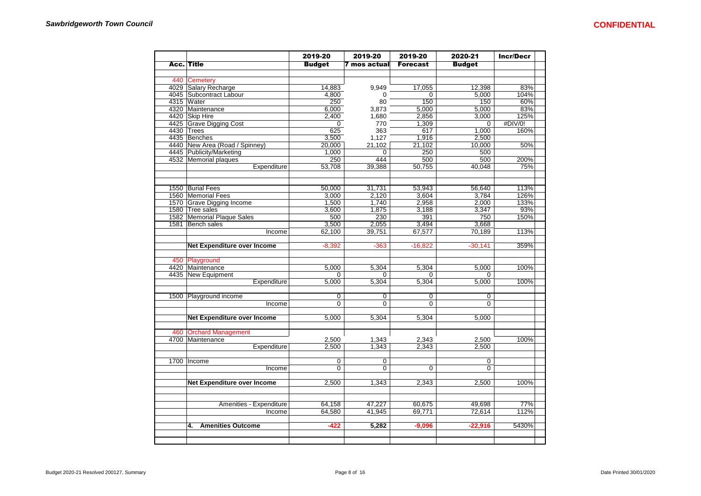|                                    | 2019-20        | 2019-20        | 2019-20         | 2020-21        | <b>Incr/Decr</b> |
|------------------------------------|----------------|----------------|-----------------|----------------|------------------|
| Acc. Title                         | <b>Budget</b>  | 7 mos actual   | <b>Forecast</b> | <b>Budget</b>  |                  |
|                                    |                |                |                 |                |                  |
| 440 Cemetery                       |                |                |                 |                |                  |
| 4029 Salary Recharge               | 14,883         | 9,949          | 17,055          | 12,398         | 83%              |
| 4045 Subcontract Labour            | 4,800          | $\Omega$       | 0               | 5,000          | 104%             |
| 4315 Water                         | 250            | 80             | 150             | 150            | 60%              |
| 4320 Maintenance                   | 6,000          | 3,873          | 5,000           | 5,000          | 83%              |
| 4420 Skip Hire                     | 2,400          | 1,680          | 2,856           | 3,000          | 125%             |
| 4425 Grave Digging Cost            | 0              | 770            | 1,309           | 0              | #DIV/0!          |
| 4430 Trees                         | 625            | 363            | 617             | 1,000          | 160%             |
| 4435 Benches                       | 3,500          | 1,127          | 1,916           | 2,500          |                  |
| 4440 New Area (Road / Spinney)     | 20,000         | 21,102         | 21,102          | 10,000         | 50%              |
| 4445 Publicity/Marketing           | 1,000          | $\mathbf 0$    | 250             | 500            |                  |
| 4532 Memorial plaques              | 250            | 444            | 500             | 500            | 200%             |
| Expenditure                        | 53.708         | 39,388         | 50.755          | 40.048         | 75%              |
|                                    |                |                |                 |                |                  |
| 1550 Burial Fees                   | 50,000         | 31,731         | 53,943          | 56,640         | 113%             |
| 1560 Memorial Fees                 | 3.000          | 2.120          | 3.604           | 3.784          | 126%             |
| 1570 Grave Digging Income          | 1,500          | 1,740          | 2,958           | 2,000          | 133%             |
| 1580 Tree sales                    | 3,600          | 1,875          | 3,188           | 3,347          | 93%              |
| 1582 Memorial Plaque Sales         | 500            | 230            | 391             | 750            | 150%             |
| 1581 Bench sales                   | 3,500          | 2,055          | 3,494           | 3,668          |                  |
| Income                             | 62,100         | 39,751         | 67,577          | 70,189         | 113%             |
|                                    |                |                |                 |                |                  |
| Net Expenditure over Income        | $-8,392$       | $-363$         | $-16,822$       | $-30,141$      | 359%             |
|                                    |                |                |                 |                |                  |
| 450 Playground                     |                |                |                 |                |                  |
| 4420 Maintenance                   | 5,000          | 5,304          | 5,304           | 5,000          | 100%             |
| 4435 New Equipment                 | $\Omega$       | $\Omega$       | $\overline{0}$  | $\Omega$       |                  |
| Expenditure                        | 5.000          | 5.304          | 5.304           | 5.000          | 100%             |
|                                    |                |                |                 |                |                  |
| 1500 Playground income             | 0              | $\mathbf 0$    | $\overline{0}$  | $\mathbf 0$    |                  |
| Income                             | $\overline{0}$ | $\overline{0}$ | $\overline{0}$  | $\overline{0}$ |                  |
|                                    |                |                |                 |                |                  |
| <b>Net Expenditure over Income</b> | 5,000          | 5,304          | 5,304           | 5,000          |                  |
|                                    |                |                |                 |                |                  |
| 460 Orchard Management             |                |                |                 |                |                  |
| 4700 Maintenance                   | 2,500          | 1,343          | 2,343           | 2,500          | 100%             |
| Expenditure                        | 2,500          | 1,343          | 2,343           | 2,500          |                  |
|                                    |                |                |                 |                |                  |
| 1700 Income                        | $\overline{0}$ | $\overline{0}$ |                 | $\overline{0}$ |                  |
| Income                             | $\overline{0}$ | $\Omega$       | $\mathbf 0$     | $\Omega$       |                  |
|                                    | 2,500          | 1,343          | 2,343           | 2,500          | 100%             |
| Net Expenditure over Income        |                |                |                 |                |                  |
|                                    |                |                |                 |                |                  |
| Amenities - Expenditure            | 64,158         | 47,227         | 60,675          | 49,698         | 77%              |
| Income                             | 64,580         | 41,945         | 69,771          | 72,614         | 112%             |
|                                    |                |                |                 |                |                  |
| <b>Amenities Outcome</b><br>4.     | -422           | 5,282          | $-9,096$        | $-22,916$      | 5430%            |
|                                    |                |                |                 |                |                  |
|                                    |                |                |                 |                |                  |
|                                    |                |                |                 |                |                  |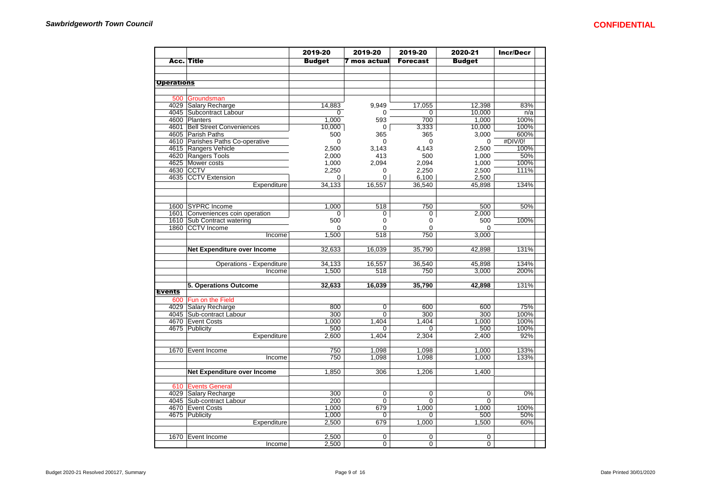| <b>Acc. Title</b><br><b>Budget</b><br>7 mos actual<br><b>Forecast</b><br><b>Budget</b><br><b>Operations</b><br>500 Groundsman<br>4029 Salary Recharge<br>14,883<br>9,949<br>17,055<br>12,398<br>83%<br>4045 Subcontract Labour<br>10,000<br>n/a<br>0<br>$\Omega$<br>0<br>4600 Planters<br>1,000<br>100%<br>1,000<br>593<br>700<br>4601 Bell Street Conveniences<br>$\mathbf 0$<br>10,000<br>100%<br>10,000<br>3,333<br>4605 Parish Paths<br>3,000<br>600%<br>500<br>365<br>365<br>#DIV/0!<br>4610 Parishes Paths Co-operative<br>$\mathbf 0$<br>0<br>0<br>$\Omega$<br>4615 Rangers Vehicle<br>2,500<br>3,143<br>4,143<br>2,500<br>100%<br>4620 Rangers Tools<br>50%<br>1,000<br>2,000<br>413<br>500<br>4625 Mower costs<br>100%<br>1,000<br>2,094<br>2,094<br>1,000<br>4630 CCTV<br>2,250<br>2,250<br>2,500<br>111%<br>$\Omega$<br>4635 CCTV Extension<br>2,500<br>6,100<br>0<br>0<br>Expenditure<br>34,133<br>16,557<br>36,540<br>45,898<br>134%<br>1600 SYPRC Income<br>50%<br>1,000<br>518<br>750<br>500<br>1601 Conveniences coin operation<br>2,000<br>0<br>0<br>0<br>1610 Sub Contract watering<br>500<br>500<br>100%<br>0<br>0<br>1860 CCTV Income<br>$\Omega$<br>$\Omega$<br>$\Omega$<br>$\Omega$<br>1,500<br>518<br>750<br>3,000<br>Income<br><b>Net Expenditure over Income</b><br>32,633<br>16,039<br>35,790<br>131%<br>42,898<br><b>Operations - Expenditure</b><br>34,133<br>16,557<br>36,540<br>45,898<br>134%<br>1,500<br>3,000<br>200%<br>Income<br>518<br>750<br>16,039<br>5. Operations Outcome<br>32,633<br>35,790<br>42,898<br>131%<br><b>Events</b><br>600 Fun on the Field<br>4029 Salary Recharge<br>800<br>$\overline{0}$<br>600<br>600<br>75%<br>4045 Sub-contract Labour<br>300<br>300<br>300<br>100%<br>0<br>1.000<br>100%<br>4670 Event Costs<br>1,404<br>1,404<br>1.000<br>4675 Publicity<br>500<br>100%<br>500<br>$\Omega$<br>0<br>Expenditure<br>2,600<br>1,404<br>2,304<br>2.400<br>92%<br>750<br>1,098<br>1,098<br>1,000<br>133%<br>1670 Event Income<br>750<br>1,098<br>1,098<br>1,000<br>Income<br>133%<br>Net Expenditure over Income<br>1,850<br>306<br>1,206<br>1,400<br>610 Events General<br>4029 Salary Recharge<br>300<br>$\overline{0}$<br>$\overline{0\%}$<br>0<br>0<br>4045 Sub-contract Labour<br>200<br>$\mathbf 0$<br>$\mathbf 0$<br>$\Omega$<br>1,000<br>100%<br>4670 Event Costs<br>679<br>1,000<br>1,000<br>1,000<br>4675 Publicity<br>500<br>50%<br>$\Omega$<br>0<br>2,500<br>679<br>1,500<br>60%<br>Expenditure<br>1,000 |  | 2019-20 | 2019-20 | 2019-20 | 2020-21 | <b>Incr/Decr</b> |
|-------------------------------------------------------------------------------------------------------------------------------------------------------------------------------------------------------------------------------------------------------------------------------------------------------------------------------------------------------------------------------------------------------------------------------------------------------------------------------------------------------------------------------------------------------------------------------------------------------------------------------------------------------------------------------------------------------------------------------------------------------------------------------------------------------------------------------------------------------------------------------------------------------------------------------------------------------------------------------------------------------------------------------------------------------------------------------------------------------------------------------------------------------------------------------------------------------------------------------------------------------------------------------------------------------------------------------------------------------------------------------------------------------------------------------------------------------------------------------------------------------------------------------------------------------------------------------------------------------------------------------------------------------------------------------------------------------------------------------------------------------------------------------------------------------------------------------------------------------------------------------------------------------------------------------------------------------------------------------------------------------------------------------------------------------------------------------------------------------------------------------------------------------------------------------------------------------------------------------------------------------------------------------------------------------------------------------------------------------------------------------------------------------------------------------------------------------------------------------|--|---------|---------|---------|---------|------------------|
|                                                                                                                                                                                                                                                                                                                                                                                                                                                                                                                                                                                                                                                                                                                                                                                                                                                                                                                                                                                                                                                                                                                                                                                                                                                                                                                                                                                                                                                                                                                                                                                                                                                                                                                                                                                                                                                                                                                                                                                                                                                                                                                                                                                                                                                                                                                                                                                                                                                                               |  |         |         |         |         |                  |
|                                                                                                                                                                                                                                                                                                                                                                                                                                                                                                                                                                                                                                                                                                                                                                                                                                                                                                                                                                                                                                                                                                                                                                                                                                                                                                                                                                                                                                                                                                                                                                                                                                                                                                                                                                                                                                                                                                                                                                                                                                                                                                                                                                                                                                                                                                                                                                                                                                                                               |  |         |         |         |         |                  |
|                                                                                                                                                                                                                                                                                                                                                                                                                                                                                                                                                                                                                                                                                                                                                                                                                                                                                                                                                                                                                                                                                                                                                                                                                                                                                                                                                                                                                                                                                                                                                                                                                                                                                                                                                                                                                                                                                                                                                                                                                                                                                                                                                                                                                                                                                                                                                                                                                                                                               |  |         |         |         |         |                  |
|                                                                                                                                                                                                                                                                                                                                                                                                                                                                                                                                                                                                                                                                                                                                                                                                                                                                                                                                                                                                                                                                                                                                                                                                                                                                                                                                                                                                                                                                                                                                                                                                                                                                                                                                                                                                                                                                                                                                                                                                                                                                                                                                                                                                                                                                                                                                                                                                                                                                               |  |         |         |         |         |                  |
|                                                                                                                                                                                                                                                                                                                                                                                                                                                                                                                                                                                                                                                                                                                                                                                                                                                                                                                                                                                                                                                                                                                                                                                                                                                                                                                                                                                                                                                                                                                                                                                                                                                                                                                                                                                                                                                                                                                                                                                                                                                                                                                                                                                                                                                                                                                                                                                                                                                                               |  |         |         |         |         |                  |
|                                                                                                                                                                                                                                                                                                                                                                                                                                                                                                                                                                                                                                                                                                                                                                                                                                                                                                                                                                                                                                                                                                                                                                                                                                                                                                                                                                                                                                                                                                                                                                                                                                                                                                                                                                                                                                                                                                                                                                                                                                                                                                                                                                                                                                                                                                                                                                                                                                                                               |  |         |         |         |         |                  |
|                                                                                                                                                                                                                                                                                                                                                                                                                                                                                                                                                                                                                                                                                                                                                                                                                                                                                                                                                                                                                                                                                                                                                                                                                                                                                                                                                                                                                                                                                                                                                                                                                                                                                                                                                                                                                                                                                                                                                                                                                                                                                                                                                                                                                                                                                                                                                                                                                                                                               |  |         |         |         |         |                  |
|                                                                                                                                                                                                                                                                                                                                                                                                                                                                                                                                                                                                                                                                                                                                                                                                                                                                                                                                                                                                                                                                                                                                                                                                                                                                                                                                                                                                                                                                                                                                                                                                                                                                                                                                                                                                                                                                                                                                                                                                                                                                                                                                                                                                                                                                                                                                                                                                                                                                               |  |         |         |         |         |                  |
|                                                                                                                                                                                                                                                                                                                                                                                                                                                                                                                                                                                                                                                                                                                                                                                                                                                                                                                                                                                                                                                                                                                                                                                                                                                                                                                                                                                                                                                                                                                                                                                                                                                                                                                                                                                                                                                                                                                                                                                                                                                                                                                                                                                                                                                                                                                                                                                                                                                                               |  |         |         |         |         |                  |
|                                                                                                                                                                                                                                                                                                                                                                                                                                                                                                                                                                                                                                                                                                                                                                                                                                                                                                                                                                                                                                                                                                                                                                                                                                                                                                                                                                                                                                                                                                                                                                                                                                                                                                                                                                                                                                                                                                                                                                                                                                                                                                                                                                                                                                                                                                                                                                                                                                                                               |  |         |         |         |         |                  |
|                                                                                                                                                                                                                                                                                                                                                                                                                                                                                                                                                                                                                                                                                                                                                                                                                                                                                                                                                                                                                                                                                                                                                                                                                                                                                                                                                                                                                                                                                                                                                                                                                                                                                                                                                                                                                                                                                                                                                                                                                                                                                                                                                                                                                                                                                                                                                                                                                                                                               |  |         |         |         |         |                  |
|                                                                                                                                                                                                                                                                                                                                                                                                                                                                                                                                                                                                                                                                                                                                                                                                                                                                                                                                                                                                                                                                                                                                                                                                                                                                                                                                                                                                                                                                                                                                                                                                                                                                                                                                                                                                                                                                                                                                                                                                                                                                                                                                                                                                                                                                                                                                                                                                                                                                               |  |         |         |         |         |                  |
|                                                                                                                                                                                                                                                                                                                                                                                                                                                                                                                                                                                                                                                                                                                                                                                                                                                                                                                                                                                                                                                                                                                                                                                                                                                                                                                                                                                                                                                                                                                                                                                                                                                                                                                                                                                                                                                                                                                                                                                                                                                                                                                                                                                                                                                                                                                                                                                                                                                                               |  |         |         |         |         |                  |
|                                                                                                                                                                                                                                                                                                                                                                                                                                                                                                                                                                                                                                                                                                                                                                                                                                                                                                                                                                                                                                                                                                                                                                                                                                                                                                                                                                                                                                                                                                                                                                                                                                                                                                                                                                                                                                                                                                                                                                                                                                                                                                                                                                                                                                                                                                                                                                                                                                                                               |  |         |         |         |         |                  |
|                                                                                                                                                                                                                                                                                                                                                                                                                                                                                                                                                                                                                                                                                                                                                                                                                                                                                                                                                                                                                                                                                                                                                                                                                                                                                                                                                                                                                                                                                                                                                                                                                                                                                                                                                                                                                                                                                                                                                                                                                                                                                                                                                                                                                                                                                                                                                                                                                                                                               |  |         |         |         |         |                  |
|                                                                                                                                                                                                                                                                                                                                                                                                                                                                                                                                                                                                                                                                                                                                                                                                                                                                                                                                                                                                                                                                                                                                                                                                                                                                                                                                                                                                                                                                                                                                                                                                                                                                                                                                                                                                                                                                                                                                                                                                                                                                                                                                                                                                                                                                                                                                                                                                                                                                               |  |         |         |         |         |                  |
|                                                                                                                                                                                                                                                                                                                                                                                                                                                                                                                                                                                                                                                                                                                                                                                                                                                                                                                                                                                                                                                                                                                                                                                                                                                                                                                                                                                                                                                                                                                                                                                                                                                                                                                                                                                                                                                                                                                                                                                                                                                                                                                                                                                                                                                                                                                                                                                                                                                                               |  |         |         |         |         |                  |
|                                                                                                                                                                                                                                                                                                                                                                                                                                                                                                                                                                                                                                                                                                                                                                                                                                                                                                                                                                                                                                                                                                                                                                                                                                                                                                                                                                                                                                                                                                                                                                                                                                                                                                                                                                                                                                                                                                                                                                                                                                                                                                                                                                                                                                                                                                                                                                                                                                                                               |  |         |         |         |         |                  |
|                                                                                                                                                                                                                                                                                                                                                                                                                                                                                                                                                                                                                                                                                                                                                                                                                                                                                                                                                                                                                                                                                                                                                                                                                                                                                                                                                                                                                                                                                                                                                                                                                                                                                                                                                                                                                                                                                                                                                                                                                                                                                                                                                                                                                                                                                                                                                                                                                                                                               |  |         |         |         |         |                  |
|                                                                                                                                                                                                                                                                                                                                                                                                                                                                                                                                                                                                                                                                                                                                                                                                                                                                                                                                                                                                                                                                                                                                                                                                                                                                                                                                                                                                                                                                                                                                                                                                                                                                                                                                                                                                                                                                                                                                                                                                                                                                                                                                                                                                                                                                                                                                                                                                                                                                               |  |         |         |         |         |                  |
|                                                                                                                                                                                                                                                                                                                                                                                                                                                                                                                                                                                                                                                                                                                                                                                                                                                                                                                                                                                                                                                                                                                                                                                                                                                                                                                                                                                                                                                                                                                                                                                                                                                                                                                                                                                                                                                                                                                                                                                                                                                                                                                                                                                                                                                                                                                                                                                                                                                                               |  |         |         |         |         |                  |
|                                                                                                                                                                                                                                                                                                                                                                                                                                                                                                                                                                                                                                                                                                                                                                                                                                                                                                                                                                                                                                                                                                                                                                                                                                                                                                                                                                                                                                                                                                                                                                                                                                                                                                                                                                                                                                                                                                                                                                                                                                                                                                                                                                                                                                                                                                                                                                                                                                                                               |  |         |         |         |         |                  |
|                                                                                                                                                                                                                                                                                                                                                                                                                                                                                                                                                                                                                                                                                                                                                                                                                                                                                                                                                                                                                                                                                                                                                                                                                                                                                                                                                                                                                                                                                                                                                                                                                                                                                                                                                                                                                                                                                                                                                                                                                                                                                                                                                                                                                                                                                                                                                                                                                                                                               |  |         |         |         |         |                  |
|                                                                                                                                                                                                                                                                                                                                                                                                                                                                                                                                                                                                                                                                                                                                                                                                                                                                                                                                                                                                                                                                                                                                                                                                                                                                                                                                                                                                                                                                                                                                                                                                                                                                                                                                                                                                                                                                                                                                                                                                                                                                                                                                                                                                                                                                                                                                                                                                                                                                               |  |         |         |         |         |                  |
|                                                                                                                                                                                                                                                                                                                                                                                                                                                                                                                                                                                                                                                                                                                                                                                                                                                                                                                                                                                                                                                                                                                                                                                                                                                                                                                                                                                                                                                                                                                                                                                                                                                                                                                                                                                                                                                                                                                                                                                                                                                                                                                                                                                                                                                                                                                                                                                                                                                                               |  |         |         |         |         |                  |
|                                                                                                                                                                                                                                                                                                                                                                                                                                                                                                                                                                                                                                                                                                                                                                                                                                                                                                                                                                                                                                                                                                                                                                                                                                                                                                                                                                                                                                                                                                                                                                                                                                                                                                                                                                                                                                                                                                                                                                                                                                                                                                                                                                                                                                                                                                                                                                                                                                                                               |  |         |         |         |         |                  |
|                                                                                                                                                                                                                                                                                                                                                                                                                                                                                                                                                                                                                                                                                                                                                                                                                                                                                                                                                                                                                                                                                                                                                                                                                                                                                                                                                                                                                                                                                                                                                                                                                                                                                                                                                                                                                                                                                                                                                                                                                                                                                                                                                                                                                                                                                                                                                                                                                                                                               |  |         |         |         |         |                  |
|                                                                                                                                                                                                                                                                                                                                                                                                                                                                                                                                                                                                                                                                                                                                                                                                                                                                                                                                                                                                                                                                                                                                                                                                                                                                                                                                                                                                                                                                                                                                                                                                                                                                                                                                                                                                                                                                                                                                                                                                                                                                                                                                                                                                                                                                                                                                                                                                                                                                               |  |         |         |         |         |                  |
|                                                                                                                                                                                                                                                                                                                                                                                                                                                                                                                                                                                                                                                                                                                                                                                                                                                                                                                                                                                                                                                                                                                                                                                                                                                                                                                                                                                                                                                                                                                                                                                                                                                                                                                                                                                                                                                                                                                                                                                                                                                                                                                                                                                                                                                                                                                                                                                                                                                                               |  |         |         |         |         |                  |
|                                                                                                                                                                                                                                                                                                                                                                                                                                                                                                                                                                                                                                                                                                                                                                                                                                                                                                                                                                                                                                                                                                                                                                                                                                                                                                                                                                                                                                                                                                                                                                                                                                                                                                                                                                                                                                                                                                                                                                                                                                                                                                                                                                                                                                                                                                                                                                                                                                                                               |  |         |         |         |         |                  |
|                                                                                                                                                                                                                                                                                                                                                                                                                                                                                                                                                                                                                                                                                                                                                                                                                                                                                                                                                                                                                                                                                                                                                                                                                                                                                                                                                                                                                                                                                                                                                                                                                                                                                                                                                                                                                                                                                                                                                                                                                                                                                                                                                                                                                                                                                                                                                                                                                                                                               |  |         |         |         |         |                  |
|                                                                                                                                                                                                                                                                                                                                                                                                                                                                                                                                                                                                                                                                                                                                                                                                                                                                                                                                                                                                                                                                                                                                                                                                                                                                                                                                                                                                                                                                                                                                                                                                                                                                                                                                                                                                                                                                                                                                                                                                                                                                                                                                                                                                                                                                                                                                                                                                                                                                               |  |         |         |         |         |                  |
|                                                                                                                                                                                                                                                                                                                                                                                                                                                                                                                                                                                                                                                                                                                                                                                                                                                                                                                                                                                                                                                                                                                                                                                                                                                                                                                                                                                                                                                                                                                                                                                                                                                                                                                                                                                                                                                                                                                                                                                                                                                                                                                                                                                                                                                                                                                                                                                                                                                                               |  |         |         |         |         |                  |
|                                                                                                                                                                                                                                                                                                                                                                                                                                                                                                                                                                                                                                                                                                                                                                                                                                                                                                                                                                                                                                                                                                                                                                                                                                                                                                                                                                                                                                                                                                                                                                                                                                                                                                                                                                                                                                                                                                                                                                                                                                                                                                                                                                                                                                                                                                                                                                                                                                                                               |  |         |         |         |         |                  |
|                                                                                                                                                                                                                                                                                                                                                                                                                                                                                                                                                                                                                                                                                                                                                                                                                                                                                                                                                                                                                                                                                                                                                                                                                                                                                                                                                                                                                                                                                                                                                                                                                                                                                                                                                                                                                                                                                                                                                                                                                                                                                                                                                                                                                                                                                                                                                                                                                                                                               |  |         |         |         |         |                  |
|                                                                                                                                                                                                                                                                                                                                                                                                                                                                                                                                                                                                                                                                                                                                                                                                                                                                                                                                                                                                                                                                                                                                                                                                                                                                                                                                                                                                                                                                                                                                                                                                                                                                                                                                                                                                                                                                                                                                                                                                                                                                                                                                                                                                                                                                                                                                                                                                                                                                               |  |         |         |         |         |                  |
|                                                                                                                                                                                                                                                                                                                                                                                                                                                                                                                                                                                                                                                                                                                                                                                                                                                                                                                                                                                                                                                                                                                                                                                                                                                                                                                                                                                                                                                                                                                                                                                                                                                                                                                                                                                                                                                                                                                                                                                                                                                                                                                                                                                                                                                                                                                                                                                                                                                                               |  |         |         |         |         |                  |
|                                                                                                                                                                                                                                                                                                                                                                                                                                                                                                                                                                                                                                                                                                                                                                                                                                                                                                                                                                                                                                                                                                                                                                                                                                                                                                                                                                                                                                                                                                                                                                                                                                                                                                                                                                                                                                                                                                                                                                                                                                                                                                                                                                                                                                                                                                                                                                                                                                                                               |  |         |         |         |         |                  |
|                                                                                                                                                                                                                                                                                                                                                                                                                                                                                                                                                                                                                                                                                                                                                                                                                                                                                                                                                                                                                                                                                                                                                                                                                                                                                                                                                                                                                                                                                                                                                                                                                                                                                                                                                                                                                                                                                                                                                                                                                                                                                                                                                                                                                                                                                                                                                                                                                                                                               |  |         |         |         |         |                  |
|                                                                                                                                                                                                                                                                                                                                                                                                                                                                                                                                                                                                                                                                                                                                                                                                                                                                                                                                                                                                                                                                                                                                                                                                                                                                                                                                                                                                                                                                                                                                                                                                                                                                                                                                                                                                                                                                                                                                                                                                                                                                                                                                                                                                                                                                                                                                                                                                                                                                               |  |         |         |         |         |                  |
|                                                                                                                                                                                                                                                                                                                                                                                                                                                                                                                                                                                                                                                                                                                                                                                                                                                                                                                                                                                                                                                                                                                                                                                                                                                                                                                                                                                                                                                                                                                                                                                                                                                                                                                                                                                                                                                                                                                                                                                                                                                                                                                                                                                                                                                                                                                                                                                                                                                                               |  |         |         |         |         |                  |
|                                                                                                                                                                                                                                                                                                                                                                                                                                                                                                                                                                                                                                                                                                                                                                                                                                                                                                                                                                                                                                                                                                                                                                                                                                                                                                                                                                                                                                                                                                                                                                                                                                                                                                                                                                                                                                                                                                                                                                                                                                                                                                                                                                                                                                                                                                                                                                                                                                                                               |  |         |         |         |         |                  |
|                                                                                                                                                                                                                                                                                                                                                                                                                                                                                                                                                                                                                                                                                                                                                                                                                                                                                                                                                                                                                                                                                                                                                                                                                                                                                                                                                                                                                                                                                                                                                                                                                                                                                                                                                                                                                                                                                                                                                                                                                                                                                                                                                                                                                                                                                                                                                                                                                                                                               |  |         |         |         |         |                  |
|                                                                                                                                                                                                                                                                                                                                                                                                                                                                                                                                                                                                                                                                                                                                                                                                                                                                                                                                                                                                                                                                                                                                                                                                                                                                                                                                                                                                                                                                                                                                                                                                                                                                                                                                                                                                                                                                                                                                                                                                                                                                                                                                                                                                                                                                                                                                                                                                                                                                               |  |         |         |         |         |                  |
|                                                                                                                                                                                                                                                                                                                                                                                                                                                                                                                                                                                                                                                                                                                                                                                                                                                                                                                                                                                                                                                                                                                                                                                                                                                                                                                                                                                                                                                                                                                                                                                                                                                                                                                                                                                                                                                                                                                                                                                                                                                                                                                                                                                                                                                                                                                                                                                                                                                                               |  |         |         |         |         |                  |
|                                                                                                                                                                                                                                                                                                                                                                                                                                                                                                                                                                                                                                                                                                                                                                                                                                                                                                                                                                                                                                                                                                                                                                                                                                                                                                                                                                                                                                                                                                                                                                                                                                                                                                                                                                                                                                                                                                                                                                                                                                                                                                                                                                                                                                                                                                                                                                                                                                                                               |  |         |         |         |         |                  |
|                                                                                                                                                                                                                                                                                                                                                                                                                                                                                                                                                                                                                                                                                                                                                                                                                                                                                                                                                                                                                                                                                                                                                                                                                                                                                                                                                                                                                                                                                                                                                                                                                                                                                                                                                                                                                                                                                                                                                                                                                                                                                                                                                                                                                                                                                                                                                                                                                                                                               |  |         |         |         |         |                  |
|                                                                                                                                                                                                                                                                                                                                                                                                                                                                                                                                                                                                                                                                                                                                                                                                                                                                                                                                                                                                                                                                                                                                                                                                                                                                                                                                                                                                                                                                                                                                                                                                                                                                                                                                                                                                                                                                                                                                                                                                                                                                                                                                                                                                                                                                                                                                                                                                                                                                               |  |         |         |         |         |                  |
|                                                                                                                                                                                                                                                                                                                                                                                                                                                                                                                                                                                                                                                                                                                                                                                                                                                                                                                                                                                                                                                                                                                                                                                                                                                                                                                                                                                                                                                                                                                                                                                                                                                                                                                                                                                                                                                                                                                                                                                                                                                                                                                                                                                                                                                                                                                                                                                                                                                                               |  |         |         |         |         |                  |
|                                                                                                                                                                                                                                                                                                                                                                                                                                                                                                                                                                                                                                                                                                                                                                                                                                                                                                                                                                                                                                                                                                                                                                                                                                                                                                                                                                                                                                                                                                                                                                                                                                                                                                                                                                                                                                                                                                                                                                                                                                                                                                                                                                                                                                                                                                                                                                                                                                                                               |  |         |         |         |         |                  |
|                                                                                                                                                                                                                                                                                                                                                                                                                                                                                                                                                                                                                                                                                                                                                                                                                                                                                                                                                                                                                                                                                                                                                                                                                                                                                                                                                                                                                                                                                                                                                                                                                                                                                                                                                                                                                                                                                                                                                                                                                                                                                                                                                                                                                                                                                                                                                                                                                                                                               |  |         |         |         |         |                  |
| 1670 Event Income<br>2,500<br>0<br>0<br>0                                                                                                                                                                                                                                                                                                                                                                                                                                                                                                                                                                                                                                                                                                                                                                                                                                                                                                                                                                                                                                                                                                                                                                                                                                                                                                                                                                                                                                                                                                                                                                                                                                                                                                                                                                                                                                                                                                                                                                                                                                                                                                                                                                                                                                                                                                                                                                                                                                     |  |         |         |         |         |                  |
| 2,500<br>$\overline{0}$<br>$\overline{0}$<br>$\overline{0}$<br>Income                                                                                                                                                                                                                                                                                                                                                                                                                                                                                                                                                                                                                                                                                                                                                                                                                                                                                                                                                                                                                                                                                                                                                                                                                                                                                                                                                                                                                                                                                                                                                                                                                                                                                                                                                                                                                                                                                                                                                                                                                                                                                                                                                                                                                                                                                                                                                                                                         |  |         |         |         |         |                  |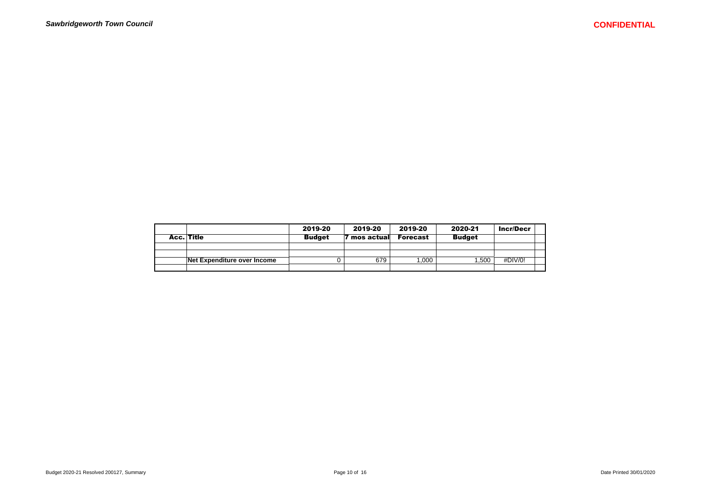|                             | 2019-20       | 2019-20    | 2019-20         | 2020-21       | <b>Incr/Decr</b> |  |
|-----------------------------|---------------|------------|-----------------|---------------|------------------|--|
| Acc. Title                  | <b>Budget</b> | mos actual | <b>Forecast</b> | <b>Budget</b> |                  |  |
|                             |               |            |                 |               |                  |  |
|                             |               |            |                 |               |                  |  |
| Net Expenditure over Income |               | 679        | .000            | .500          | #DIV/0!          |  |
|                             |               |            |                 |               |                  |  |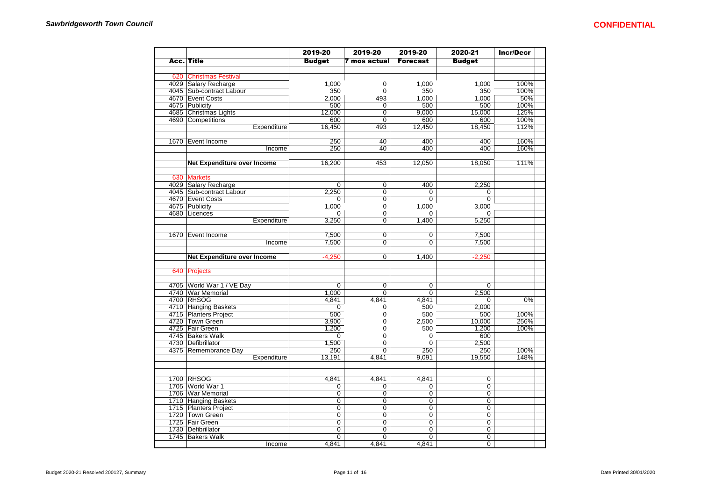|      |                             | 2019-20        | 2019-20                          | 2019-20                       | 2020-21        | <b>Incr/Decr</b> |
|------|-----------------------------|----------------|----------------------------------|-------------------------------|----------------|------------------|
|      | <b>Acc. Title</b>           | <b>Budget</b>  | 7 mos actual                     | <b>Forecast</b>               | <b>Budget</b>  |                  |
|      |                             |                |                                  |                               |                |                  |
| 620  | <b>Christmas Festival</b>   |                |                                  |                               |                |                  |
|      | 4029 Salary Recharge        | 1,000          | 0                                | 1,000                         | 1,000          | 100%             |
|      | 4045 Sub-contract Labour    | 350            | 0                                | 350                           | 350            | 100%             |
|      | 4670 Event Costs            | 2,000          | 493                              | 1,000                         | 1,000          | 50%              |
|      | 4675 Publicity              | 500            | $\Omega$                         | 500                           | 500            | 100%             |
|      | 4685 Christmas Lights       | 12,000         | 0                                | 9,000                         | 15,000         | 125%             |
|      | 4690 Competitions           | 600            | 0                                | 600                           | 600            | 100%             |
|      | Expenditure                 | 16,450         | 493                              | 12,450                        | 18,450         | 112%             |
|      |                             |                |                                  |                               |                |                  |
|      | 1670 Event Income           | 250            | 40                               | 400                           | 400            | 160%             |
|      | Income                      | 250            | 40                               | 400                           | 400            | 160%             |
|      |                             |                |                                  |                               |                |                  |
|      | Net Expenditure over Income | 16,200         | 453                              | 12,050                        | 18,050         | 111%             |
|      |                             |                |                                  |                               |                |                  |
| 630  | <b>Markets</b>              |                |                                  |                               |                |                  |
|      | 4029 Salary Recharge        | 0              | $\overline{0}$                   | 400                           | 2,250          |                  |
|      | 4045 Sub-contract Labour    | 2,250          | 0                                | $\mathbf 0$                   | 0              |                  |
|      | 4670 Event Costs            | 0              | $\overline{0}$                   | $\mathbf 0$                   | 0              |                  |
|      | 4675 Publicity              | 1,000          | 0                                | 1,000                         | 3,000          |                  |
|      | 4680   Licences             | 0              | 0                                | 0                             | 0              |                  |
|      | Expenditure                 | 3.250          | $\overline{0}$                   | 1.400                         | 5.250          |                  |
|      |                             |                |                                  |                               |                |                  |
|      | 1670 Event Income           | 7,500<br>7.500 | $\overline{0}$<br>$\overline{0}$ | $\mathbf 0$<br>$\overline{0}$ | 7,500<br>7.500 |                  |
|      | Income                      |                |                                  |                               |                |                  |
|      | Net Expenditure over Income | $-4,250$       | $\overline{0}$                   | 1,400                         | $-2,250$       |                  |
|      |                             |                |                                  |                               |                |                  |
|      | 640 Projects                |                |                                  |                               |                |                  |
|      |                             |                |                                  |                               |                |                  |
|      | 4705 World War 1 / VE Day   | 0              | 0                                | 0                             | 0              |                  |
|      | 4740 War Memorial           | 1,000          | 0                                | $\mathbf 0$                   | 2,500          |                  |
|      | 4700 RHSOG                  | 4,841          | 4,841                            | 4,841                         | 0              | 0%               |
|      | 4710 Hanging Baskets        | 0              | 0                                | 500                           | 2,000          |                  |
|      | 4715 Planters Project       | 500            | 0                                | 500                           | 500            | 100%             |
|      | 4720 Town Green             | 3,900          | 0                                | 2,500                         | 10,000         | 256%             |
|      | 4725 Fair Green             | 1,200          | 0                                | 500                           | 1,200          | 100%             |
|      | 4745 Bakers Walk            | 0              | 0                                | $\mathbf 0$                   | 600            |                  |
|      | 4730 Defibrillator          | 1,500          | 0                                | $\Omega$                      | 2,500          |                  |
|      | 4375   Remembrance Day      | 250            | 0                                | 250                           | 250            | 100%             |
|      | Expenditure                 | 13.191         | 4.841                            | 9.091                         | 19.550         | 148%             |
|      |                             |                |                                  |                               |                |                  |
|      |                             |                |                                  |                               |                |                  |
|      | 1700 RHSOG                  | 4,841          | 4,841                            | 4,841                         | $\mathbf 0$    |                  |
|      | 1705 World War 1            | 0              | 0                                | 0                             | $\overline{0}$ |                  |
|      | 1706 War Memorial           | $\overline{0}$ | 0                                | $\mathbf 0$                   | 0              |                  |
|      | 1710 Hanging Baskets        | 0              | 0                                | $\mathbf 0$                   | $\mathbf 0$    |                  |
|      | 1715 Planters Project       | 0              | 0                                | $\mathbf 0$                   | 0              |                  |
|      | 1720 Town Green             | $\Omega$       | 0                                | $\mathbf 0$                   | $\Omega$       |                  |
|      | 1725 Fair Green             | $\overline{0}$ | 0                                | $\overline{0}$                | $\overline{0}$ |                  |
| 1730 | Defibrillator               | 0              | 0                                | 0                             | $\overline{0}$ |                  |
|      | 1745 Bakers Walk            | 0              | 0                                | 0                             | 0              |                  |
|      | Income                      | 4,841          | 4.841                            | 4,841                         | $\overline{0}$ |                  |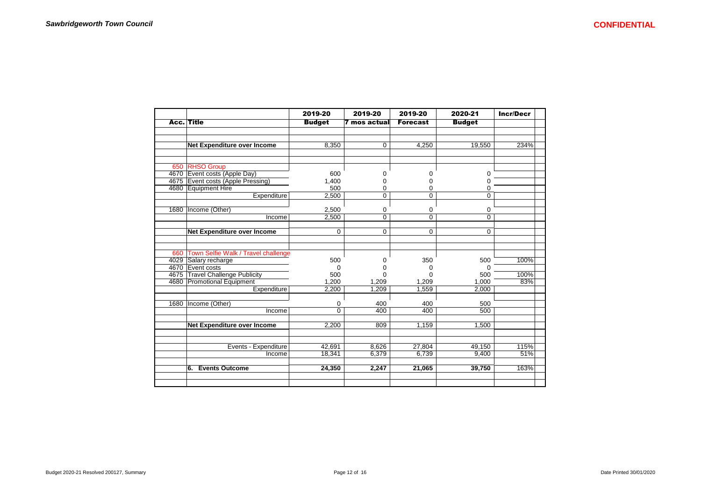|      |                                         | 2019-20        | 2019-20             | 2019-20         | 2020-21       | <b>Incr/Decr</b> |
|------|-----------------------------------------|----------------|---------------------|-----------------|---------------|------------------|
|      | <b>Acc.</b> Title                       | <b>Budget</b>  | <b>7 mos actual</b> | <b>Forecast</b> | <b>Budget</b> |                  |
|      |                                         |                |                     |                 |               |                  |
|      |                                         |                |                     |                 |               |                  |
|      | Net Expenditure over Income             | 8,350          | $\mathbf 0$         | 4.250           | 19,550        | 234%             |
|      |                                         |                |                     |                 |               |                  |
|      | 650 RHSO Group                          |                |                     |                 |               |                  |
|      | 4670 Event costs (Apple Day)            | 600            | $\mathbf 0$         | 0               | 0             |                  |
|      | 4675 Event costs (Apple Pressing)       | 1,400          | 0                   | 0               | $\Omega$      |                  |
|      | 4680 Equipment Hire                     | 500            | 0                   | 0               | 0             |                  |
|      | Expenditure                             | 2,500          | $\mathbf 0$         | 0               | 0             |                  |
|      | 1680   Income (Other)                   | 2,500          | 0                   | 0               | 0             |                  |
|      | Income                                  | 2,500          | $\Omega$            | 0               | $\Omega$      |                  |
|      | Net Expenditure over Income             | $\Omega$       | $\mathbf 0$         | 0               | 0             |                  |
|      |                                         |                |                     |                 |               |                  |
|      | 660 Town Selfie Walk / Travel challenge |                |                     |                 |               |                  |
|      | 4029 Salary recharge                    | 500            | 0                   | 350             | 500           | 100%             |
|      | 4670 Event costs                        | $\Omega$       | $\Omega$            | 0               | ∩             |                  |
|      | 4675 Travel Challenge Publicity         | 500            | $\Omega$            | n               | 500           | 100%             |
|      | 4680 Promotional Equipment              | 1.200          | 1,209               | 1,209           | 1,000         | 83%              |
|      | Expenditure                             | 2,200          | 1,209               | 1,559           | 2,000         |                  |
| 1680 | Income (Other)                          | 0              | 400                 | 400             | 500           |                  |
|      | Income                                  | $\overline{0}$ | 400                 | 400             | 500           |                  |
|      | Net Expenditure over Income             | 2,200          | 809                 | 1,159           | 1,500         |                  |
|      |                                         |                |                     |                 |               |                  |
|      | Events - Expenditure                    | 42,691         | 8,626               | 27,804          | 49,150        | 115%             |
|      | Income                                  | 18,341         | 6,379               | 6.739           | 9.400         | 51%              |
|      | <b>Events Outcome</b><br>6.             | 24,350         | 2,247               | 21,065          | 39,750        | 163%             |
|      |                                         |                |                     |                 |               |                  |
|      |                                         |                |                     |                 |               |                  |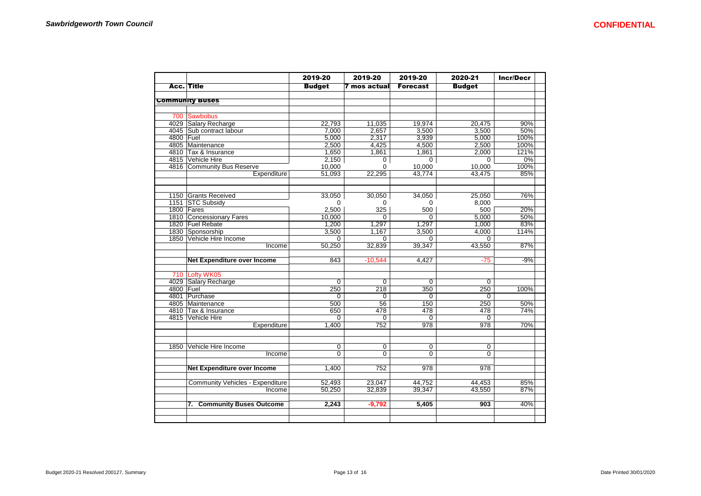|           |                                  | 2019-20       | 2019-20         | 2019-20         | 2020-21        | <b>Incr/Decr</b> |
|-----------|----------------------------------|---------------|-----------------|-----------------|----------------|------------------|
|           | <b>Acc. Title</b>                | <b>Budget</b> | 7 mos actual    | <b>Forecast</b> | <b>Budget</b>  |                  |
|           |                                  |               |                 |                 |                |                  |
|           | <b>Community Buses</b>           |               |                 |                 |                |                  |
|           |                                  |               |                 |                 |                |                  |
| 700       | <b>Sawbobus</b>                  |               |                 |                 |                |                  |
|           | 4029 Salary Recharge             | 22,793        | 11,035          | 19,974          | 20,475         | 90%              |
|           | 4045 Sub contract labour         | 7,000         | 2,657           | 3,500           | 3,500          | 50%              |
| 4800 Fuel |                                  | 5,000         | 2,317           | 3,939           | 5,000          | 100%             |
|           | 4805 Maintenance                 | 2.500         | 4.425           | 4.500           | 2,500          | 100%             |
|           | 4810 Tax & Insurance             | 1,650         | 1,861           | 1,861           | 2,000          | 121%             |
|           | 4815 Vehicle Hire                | 2,150         | $\overline{0}$  | $\overline{0}$  | $\overline{0}$ | 0%               |
|           | 4816 Community Bus Reserve       | 10,000        | $\Omega$        | 10,000          | 10,000         | 100%             |
|           | Expenditure                      | 51,093        | 22,295          | 43.774          | 43.475         | 85%              |
|           |                                  |               |                 |                 |                |                  |
|           | 1150 Grants Received             | 33,050        | 30,050          | 34,050          | 25,050         | 76%              |
|           | 1151 STC Subsidy                 | $\Omega$      | $\Omega$        | $\Omega$        | 8,000          |                  |
|           | 1800 Fares                       | 2,500         | 325             | 500             | 500            | 20%              |
|           | 1810 Concessionary Fares         | 10,000        | $\Omega$        | $\Omega$        | 5,000          | 50%              |
|           | 1820 Fuel Rebate                 | 1,200         | 1.297           | 1.297           | 1.000          | 83%              |
|           | 1830 Sponsorship                 | 3,500         | 1,167           | 3,500           | 4,000          | 114%             |
|           | 1850 Vehicle Hire Income         | $\Omega$      | $\Omega$        | $\Omega$        | $\Omega$       |                  |
|           | Income                           | 50,250        | 32,839          | 39,347          | 43,550         | 87%              |
|           | Net Expenditure over Income      | 843           | $-10,544$       | 4.427           | $-75$          | $-9%$            |
| 710       | Lofty WK05                       |               |                 |                 |                |                  |
|           | 4029 Salary Recharge             | 0             | 0               | $\mathbf 0$     | 0              |                  |
| 4800 Fuel |                                  | 250           | 218             | 350             | 250            | 100%             |
|           | 4801 Purchase                    | 0             | 0               | $\Omega$        | $\Omega$       |                  |
|           | 4805 Maintenance                 | 500           | $\overline{56}$ | 150             | 250            | 50%              |
|           | 4810 Tax & Insurance             | 650           | 478             | 478             | 478            | 74%              |
|           | 4815 Vehicle Hire                | $\Omega$      | $\Omega$        | 0               | $\Omega$       |                  |
|           | Expenditure                      | 1,400         | 752             | 978             | 978            | 70%              |
|           |                                  |               |                 |                 |                |                  |
| 1850      | Vehicle Hire Income              | 0             | 0               | 0               | 0              |                  |
|           | Income                           | $\Omega$      | $\Omega$        | $\Omega$        | $\Omega$       |                  |
|           | Net Expenditure over Income      | 1,400         | 752             | 978             | 978            |                  |
|           |                                  |               |                 |                 |                |                  |
|           | Community Vehicles - Expenditure | 52,493        | 23,047          | 44,752          | 44,453         | 85%              |
|           | Income                           | 50,250        | 32,839          | 39,347          | 43,550         | 87%              |
|           | 7. Community Buses Outcome       | 2,243         | $-9,792$        | 5,405           | 903            | 40%              |
|           |                                  |               |                 |                 |                |                  |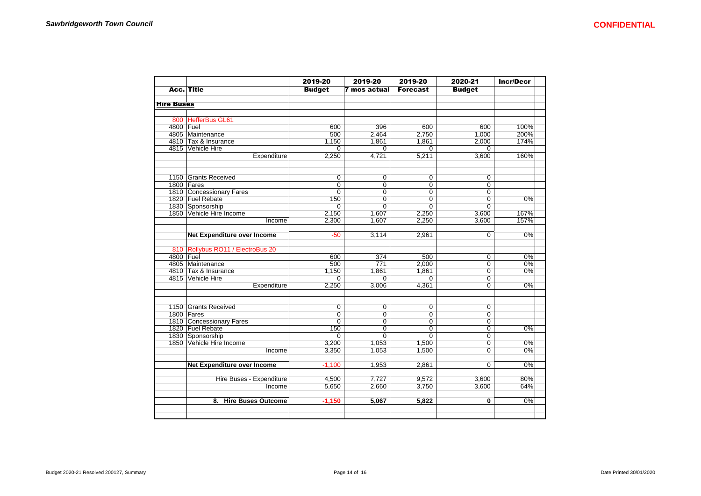|                   |                                              | 2019-20                 | 2019-20                 | 2019-20                 | 2020-21                 | <b>Incr/Decr</b> |
|-------------------|----------------------------------------------|-------------------------|-------------------------|-------------------------|-------------------------|------------------|
|                   | Acc. Title                                   | <b>Budget</b>           | 7 mos actual            | <b>Forecast</b>         | <b>Budget</b>           |                  |
|                   |                                              |                         |                         |                         |                         |                  |
| <b>Hire Buses</b> |                                              |                         |                         |                         |                         |                  |
|                   |                                              |                         |                         |                         |                         |                  |
|                   | 800 HefferBus GL61                           |                         |                         |                         |                         |                  |
| 4800 Fuel         |                                              | 600                     | 396                     | 600                     | 600                     | 100%             |
|                   | 4805 Maintenance                             | 500                     | 2.464                   | 2,750                   | 1,000                   | 200%             |
|                   | 4810 Tax & Insurance                         | 1,150<br>$\overline{0}$ | 1,861<br>$\overline{0}$ | 1,861<br>$\overline{0}$ | 2,000<br>$\overline{0}$ | 174%             |
|                   | 4815 Vehicle Hire                            |                         |                         |                         |                         |                  |
|                   | Expenditure                                  | 2,250                   | 4,721                   | 5,211                   | 3,600                   | 160%             |
|                   | 1150 Grants Received                         | $\overline{0}$          | $\overline{0}$          | 0                       | 0                       |                  |
|                   | 1800 Fares                                   | $\overline{0}$          | $\overline{0}$          | $\overline{0}$          | 0                       |                  |
|                   | 1810 Concessionary Fares<br>1820 Fuel Rebate | 0                       | 0                       | 0                       | 0                       |                  |
|                   |                                              | 150                     | $\overline{0}$          | $\overline{0}$          | $\overline{0}$          | 0%               |
|                   | 1830 Sponsorship                             | $\mathbf 0$             | $\overline{0}$          | $\overline{0}$          | $\overline{0}$          |                  |
|                   | 1850 Vehicle Hire Income                     | 2,150                   | 1,607                   | 2,250                   | 3,600                   | 167%             |
|                   | Income                                       | 2,300                   | 1,607                   | 2,250                   | 3,600                   | 157%             |
|                   |                                              |                         |                         |                         |                         |                  |
|                   | <b>Net Expenditure over Income</b>           | $-50$                   | 3,114                   | 2,961                   | $\overline{0}$          | 0%               |
|                   | 810 Rollybus RO11 / ElectroBus 20            |                         |                         |                         |                         |                  |
| 4800 Fuel         |                                              | 600                     | 374                     | 500                     | $\Omega$                | 0%               |
|                   | 4805 Maintenance                             | 500                     | 771                     | 2,000                   | 0                       | $0\%$            |
|                   | 4810 Tax & Insurance                         | 1,150                   | 1,861                   | 1,861                   | 0                       | 0%               |
|                   | 4815 Vehicle Hire                            | $\mathbf 0$             | $\Omega$                | $\Omega$                | 0                       |                  |
|                   | Expenditure                                  | 2,250                   | 3,006                   | 4,361                   | $\Omega$                | 0%               |
|                   | 1150 Grants Received                         | 0                       | 0                       | $\mathbf 0$             | 0                       |                  |
|                   | 1800 Fares                                   | $\overline{0}$          | $\overline{0}$          | 0                       | 0                       |                  |
|                   | 1810 Concessionary Fares                     | $\overline{0}$          | $\overline{0}$          | $\overline{0}$          | $\overline{0}$          |                  |
|                   | 1820 Fuel Rebate                             | 150                     | 0                       | 0                       | 0                       | 0%               |
|                   | 1830 Sponsorship                             | 0                       | $\overline{0}$          | $\overline{0}$          | 0                       |                  |
|                   | 1850 Vehicle Hire Income                     | 3,200                   | 1,053                   | 1,500                   | 0                       | $0\%$            |
|                   | Income                                       | 3,350                   | 1.053                   | 1.500                   | $\Omega$                | 0%               |
|                   | <b>Net Expenditure over Income</b>           | $-1,100$                | 1,953                   | 2,861                   | 0                       | 0%               |
|                   | Hire Buses - Expenditure                     | 4,500                   | 7,727                   | 9,572                   | 3,600                   | 80%              |
|                   | Income                                       | 5,650                   | 2,660                   | 3,750                   | 3,600                   | 64%              |
|                   | 8. Hire Buses Outcome                        | $-1,150$                | 5,067                   | 5,822                   | 0                       | 0%               |
|                   |                                              |                         |                         |                         |                         |                  |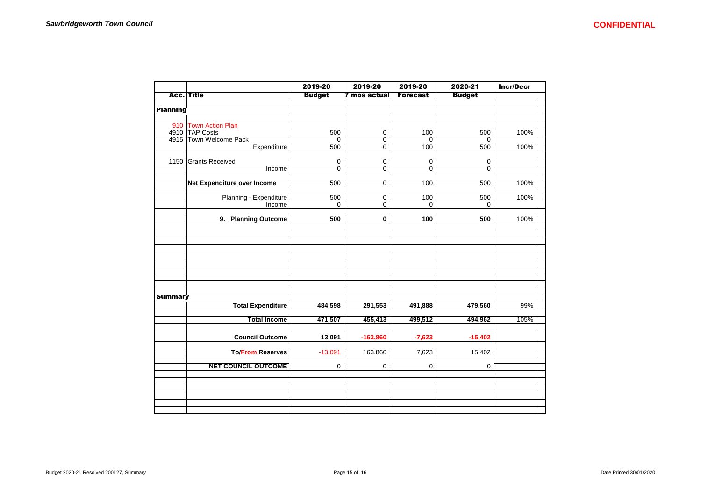|                 |                             | 2019-20        | 2019-20                 | 2019-20         | 2020-21        | <b>Incr/Decr</b> |
|-----------------|-----------------------------|----------------|-------------------------|-----------------|----------------|------------------|
|                 | Acc. Title                  | <b>Budget</b>  | 7 mos actual            | <b>Forecast</b> | <b>Budget</b>  |                  |
|                 |                             |                |                         |                 |                |                  |
| <b>Planning</b> |                             |                |                         |                 |                |                  |
|                 | 910 Town Action Plan        |                |                         |                 |                |                  |
|                 | 4910 TAP Costs              | 500            | $\overline{0}$          | 100             | 500            | 100%             |
|                 | 4915 Town Welcome Pack      | 0              | 0                       | 0               | $\mathbf 0$    |                  |
|                 | Expenditure                 | 500            | $\overline{0}$          | 100             | 500            | 100%             |
|                 |                             |                |                         |                 |                |                  |
|                 | 1150 Grants Received        | $\overline{0}$ | $\overline{0}$          | 0               | 0              |                  |
|                 | Income                      | $\overline{0}$ | $\overline{0}$          | $\overline{0}$  | $\Omega$       |                  |
|                 | Net Expenditure over Income | 500            | $\overline{0}$          | 100             | 500            | 100%             |
|                 |                             |                |                         |                 |                |                  |
|                 | Planning - Expenditure      | 500            | 0                       | 100             | 500            | 100%             |
|                 | Income                      | 0              | 0                       | 0               | 0              |                  |
|                 |                             |                |                         |                 |                |                  |
|                 | 9. Planning Outcome         | 500            | $\overline{\mathbf{0}}$ | 100             | 500            | 100%             |
|                 |                             |                |                         |                 |                |                  |
|                 |                             |                |                         |                 |                |                  |
|                 |                             |                |                         |                 |                |                  |
|                 |                             |                |                         |                 |                |                  |
|                 |                             |                |                         |                 |                |                  |
|                 |                             |                |                         |                 |                |                  |
|                 |                             |                |                         |                 |                |                  |
|                 |                             |                |                         |                 |                |                  |
| <b>Summary</b>  |                             |                |                         |                 |                |                  |
|                 | <b>Total Expenditure</b>    | 484,598        | 291,553                 | 491,888         | 479,560        | 99%              |
|                 |                             |                |                         |                 |                |                  |
|                 | <b>Total Income</b>         | 471,507        | 455,413                 | 499,512         | 494,962        | 105%             |
|                 |                             |                |                         |                 |                |                  |
|                 | <b>Council Outcome</b>      | 13,091         | $-163,860$              | $-7,623$        | $-15,402$      |                  |
|                 |                             |                |                         |                 |                |                  |
|                 | <b>To/From Reserves</b>     | $-13,091$      | 163,860                 | 7,623           | 15,402         |                  |
|                 | <b>NET COUNCIL OUTCOME</b>  | $\overline{0}$ | $\overline{0}$          | $\overline{0}$  | $\overline{0}$ |                  |
|                 |                             |                |                         |                 |                |                  |
|                 |                             |                |                         |                 |                |                  |
|                 |                             |                |                         |                 |                |                  |
|                 |                             |                |                         |                 |                |                  |
|                 |                             |                |                         |                 |                |                  |
|                 |                             |                |                         |                 |                |                  |